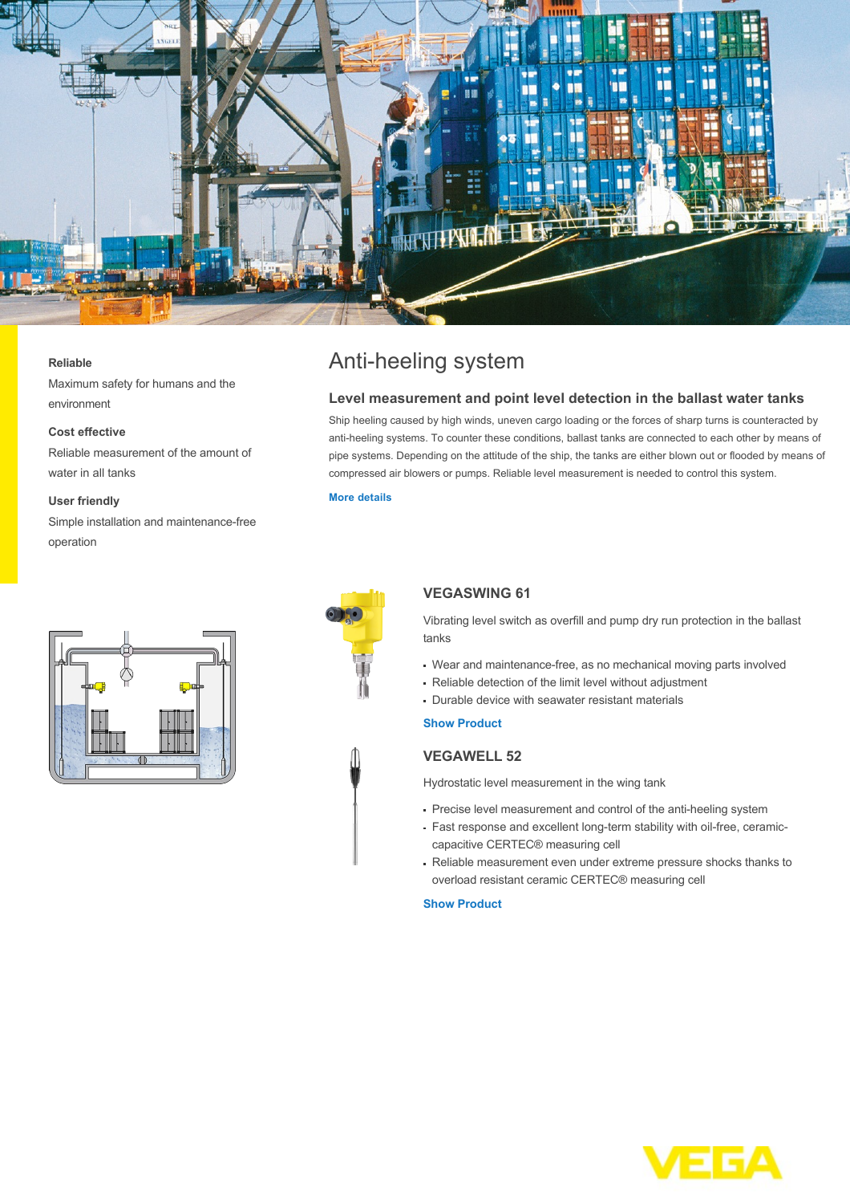

#### **Reliable**

Maximum safety for humans and the environment

### **Cost effective**

Reliable measurement of the amount of water in all tanks

#### **User friendly**

Simple installation and maintenance-free operation

# Anti-heeling system

## **Level measurement and point level detection in the ballast water tanks**

Ship heeling caused by high winds, uneven cargo loading or the forces of sharp turns is counteracted by anti-heeling systems. To counter these conditions, ballast tanks are connected to each other by means of pipe systems. Depending on the attitude of the ship, the tanks are either blown out or flooded by means of compressed air blowers or pumps. Reliable level measurement is needed to control this system.

#### **[More details](http://localhost/en-us/industries/ship-and-yacht-building/shipbuilding/anti-heeling-system)**



# **VEGASWING 61**

Vibrating level switch as overfill and pump dry run protection in the ballast tanks

- Wear and maintenance-free, as no mechanical moving parts involved
- Reliable detection of the limit level without adjustment
- Durable device with seawater resistant materials

## **[Show Product](http://localhost/en-us/products/product-catalog/switching/vibration/vegaswing-61)**

# **VEGAWELL 52**

Hydrostatic level measurement in the wing tank

- Precise level measurement and control of the anti-heeling system
- Fast response and excellent long-term stability with oil-free, ceramiccapacitive CERTEC® measuring cell
- Reliable measurement even under extreme pressure shocks thanks to overload resistant ceramic CERTEC® measuring cell

#### **[Show Product](http://localhost/en-us/products/product-catalog/pressure/hydrostatic/vegawell-52)**